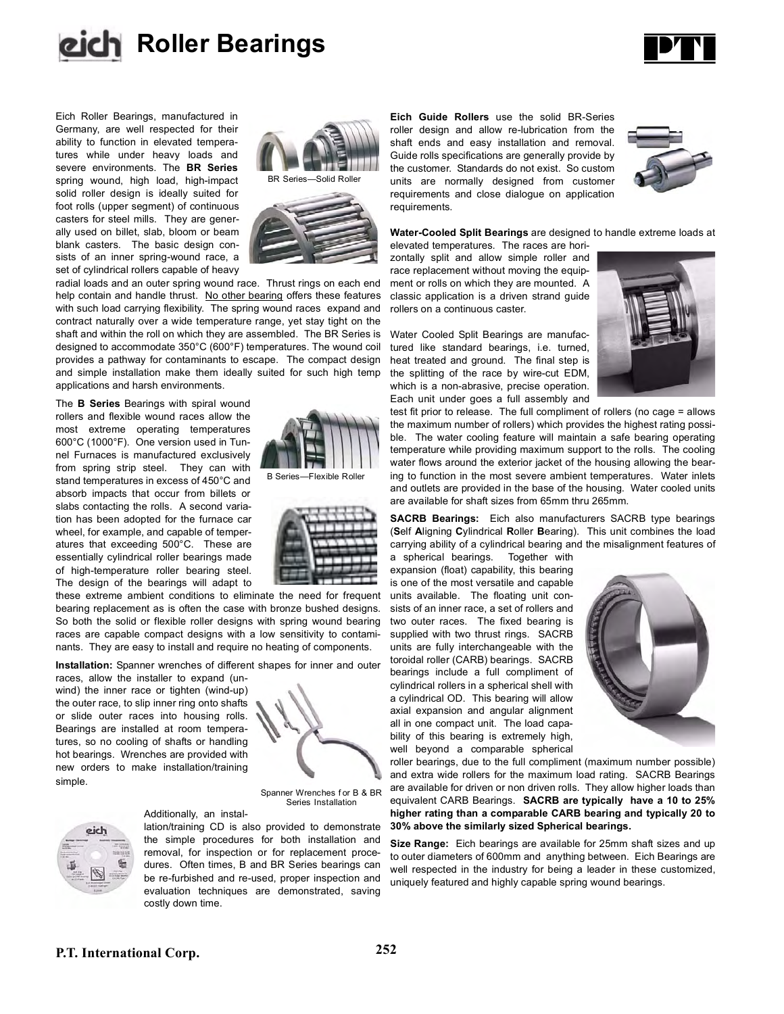



Eich Roller Bearings, manufactured in Germany, are well respected for their ability to function in elevated temperatures while under heavy loads and severe environments. The **BR Series** spring wound, high load, high-impact solid roller design is ideally suited for foot rolls (upper segment) of continuous casters for steel mills. They are generally used on billet, slab, bloom or beam blank casters. The basic design consists of an inner spring-wound race, a set of cylindrical rollers capable of heavy



radial loads and an outer spring wound race. Thrust rings on each end help contain and handle thrust. No other bearing offers these features with such load carrying flexibility. The spring wound races expand and contract naturally over a wide temperature range, yet stay tight on the shaft and within the roll on which they are assembled. The BR Series is designed to accommodate 350°C (600°F) temperatures. The wound coil provides a pathway for contaminants to escape. The compact design and simple installation make them ideally suited for such high temp applications and harsh environments.

The **B Series** Bearings with spiral wound rollers and flexible wound races allow the most extreme operating temperatures 600°C (1000°F). One version used in Tunnel Furnaces is manufactured exclusively from spring strip steel. They can with stand temperatures in excess of 450°C and absorb impacts that occur from billets or slabs contacting the rolls. A second variation has been adopted for the furnace car wheel, for example, and capable of temperatures that exceeding 500°C. These are essentially cylindrical roller bearings made of high-temperature roller bearing steel. The design of the bearings will adapt to

these extreme ambient conditions to eliminate the need for frequent bearing replacement as is often the case with bronze bushed designs. So both the solid or flexible roller designs with spring wound bearing races are capable compact designs with a low sensitivity to contaminants. They are easy to install and require no heating of components.

**Installation:** Spanner wrenches of different shapes for inner and outer

Additionally, an instal-

races, allow the installer to expand (unwind) the inner race or tighten (wind-up) the outer race, to slip inner ring onto shafts or slide outer races into housing rolls. Bearings are installed at room temperatures, so no cooling of shafts or handling hot bearings. Wrenches are provided with new orders to make installation/training simple.



B Series—Flexible Roller

Spanner Wrenches for B & BR Series Installation



lation/training CD is also provided to demonstrate the simple procedures for both installation and removal, for inspection or for replacement procedures. Often times, B and BR Series bearings can be re-furbished and re-used, proper inspection and evaluation techniques are demonstrated, saving costly down time.

**Eich Guide Rollers** use the solid BR-Series roller design and allow re-lubrication from the shaft ends and easy installation and removal. Guide rolls specifications are generally provide by the customer. Standards do not exist. So custom units are normally designed from customer requirements and close dialogue on application requirements.



**Water-Cooled Split Bearings** are designed to handle extreme loads at

elevated temperatures. The races are horizontally split and allow simple roller and race replacement without moving the equipment or rolls on which they are mounted. A classic application is a driven strand guide rollers on a continuous caster.

Water Cooled Split Bearings are manufactured like standard bearings, i.e. turned, heat treated and ground. The final step is the splitting of the race by wire-cut EDM, which is a non-abrasive, precise operation. Each unit under goes a full assembly and



test fit prior to release. The full compliment of rollers (no cage = allows the maximum number of rollers) which provides the highest rating possible. The water cooling feature will maintain a safe bearing operating temperature while providing maximum support to the rolls. The cooling water flows around the exterior jacket of the housing allowing the bearing to function in the most severe ambient temperatures. Water inlets and outlets are provided in the base of the housing. Water cooled units are available for shaft sizes from 65mm thru 265mm.

**SACRB Bearings:** Eich also manufacturers SACRB type bearings (**S**elf **A**ligning **C**ylindrical **R**oller **B**earing). This unit combines the load carrying ability of a cylindrical bearing and the misalignment features of

a spherical bearings. Together with expansion (float) capability, this bearing is one of the most versatile and capable units available. The floating unit consists of an inner race, a set of rollers and two outer races. The fixed bearing is supplied with two thrust rings. SACRB units are fully interchangeable with the toroidal roller (CARB) bearings. SACRB bearings include a full compliment of cylindrical rollers in a spherical shell with a cylindrical OD. This bearing will allow axial expansion and angular alignment all in one compact unit. The load capability of this bearing is extremely high, well beyond a comparable spherical



roller bearings, due to the full compliment (maximum number possible) and extra wide rollers for the maximum load rating. SACRB Bearings are available for driven or non driven rolls. They allow higher loads than equivalent CARB Bearings. **SACRB are typically have a 10 to 25% higher rating than a comparable CARB bearing and typically 20 to 30% above the similarly sized Spherical bearings.**

**Size Range:** Eich bearings are available for 25mm shaft sizes and up to outer diameters of 600mm and anything between. Eich Bearings are well respected in the industry for being a leader in these customized, uniquely featured and highly capable spring wound bearings.